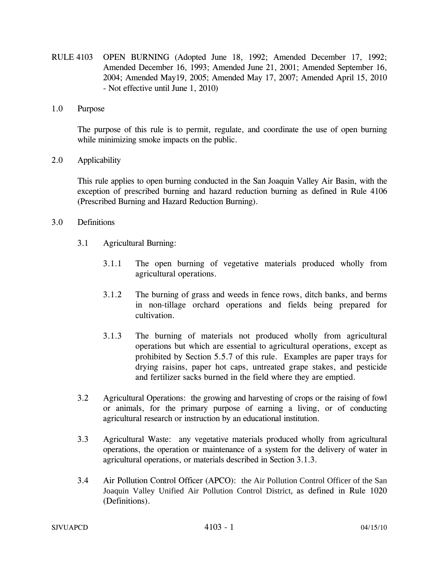- RULE 4103 OPEN BURNING (Adopted June 18, 1992; Amended December 17, 1992; Amended December 16, 1993; Amended June 21, 2001; Amended September 16, 2004; Amended May19, 2005; Amended May 17, 2007; Amended April 15, 2010 - Not effective until June 1, 2010)
- 1.0 Purpose

The purpose of this rule is to permit, regulate, and coordinate the use of open burning while minimizing smoke impacts on the public.

2.0 Applicability

This rule applies to open burning conducted in the San Joaquin Valley Air Basin, with the exception of prescribed burning and hazard reduction burning as defined in Rule 4106 (Prescribed Burning and Hazard Reduction Burning).

- 3.0 Definitions
	- 3.1 Agricultural Burning:
		- 3.1.1 The open burning of vegetative materials produced wholly from agricultural operations.
		- 3.1.2 The burning of grass and weeds in fence rows, ditch banks, and berms in non-tillage orchard operations and fields being prepared for cultivation.
		- 3.1.3 The burning of materials not produced wholly from agricultural operations but which are essential to agricultural operations, except as prohibited by Section 5.5.7 of this rule. Examples are paper trays for drying raisins, paper hot caps, untreated grape stakes, and pesticide and fertilizer sacks burned in the field where they are emptied.
	- 3.2 Agricultural Operations: the growing and harvesting of crops or the raising of fowl or animals, for the primary purpose of earning a living, or of conducting agricultural research or instruction by an educational institution.
	- 3.3 Agricultural Waste: any vegetative materials produced wholly from agricultural operations, the operation or maintenance of a system for the delivery of water in agricultural operations, or materials described in Section 3.1.3.
	- 3.4 Air Pollution Control Officer (APCO): the Air Pollution Control Officer of the San Joaquin Valley Unified Air Pollution Control District, as defined in Rule 1020 (Definitions).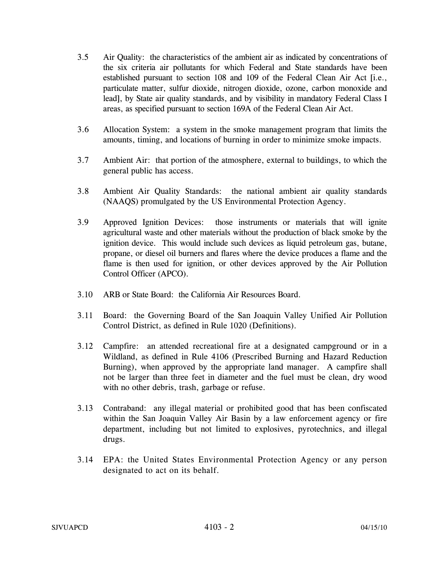- 3.5 Air Quality: the characteristics of the ambient air as indicated by concentrations of the six criteria air pollutants for which Federal and State standards have been established pursuant to section 108 and 109 of the Federal Clean Air Act [i.e., particulate matter, sulfur dioxide, nitrogen dioxide, ozone, carbon monoxide and lead], by State air quality standards, and by visibility in mandatory Federal Class I areas, as specified pursuant to section 169A of the Federal Clean Air Act.
- 3.6 Allocation System: a system in the smoke management program that limits the amounts, timing, and locations of burning in order to minimize smoke impacts.
- 3.7 Ambient Air: that portion of the atmosphere, external to buildings, to which the general public has access.
- 3.8 Ambient Air Quality Standards: the national ambient air quality standards (NAAQS) promulgated by the US Environmental Protection Agency.
- 3.9 Approved Ignition Devices: those instruments or materials that will ignite agricultural waste and other materials without the production of black smoke by the ignition device. This would include such devices as liquid petroleum gas, butane, propane, or diesel oil burners and flares where the device produces a flame and the flame is then used for ignition, or other devices approved by the Air Pollution Control Officer (APCO).
- 3.10 ARB or State Board: the California Air Resources Board.
- 3.11 Board: the Governing Board of the San Joaquin Valley Unified Air Pollution Control District, as defined in Rule 1020 (Definitions).
- 3.12 Campfire: an attended recreational fire at a designated campground or in a Wildland, as defined in Rule 4106 (Prescribed Burning and Hazard Reduction Burning), when approved by the appropriate land manager. A campfire shall not be larger than three feet in diameter and the fuel must be clean, dry wood with no other debris, trash, garbage or refuse.
- 3.13 Contraband: any illegal material or prohibited good that has been confiscated within the San Joaquin Valley Air Basin by a law enforcement agency or fire department, including but not limited to explosives, pyrotechnics, and illegal drugs.
- 3.14 EPA: the United States Environmental Protection Agency or any person designated to act on its behalf.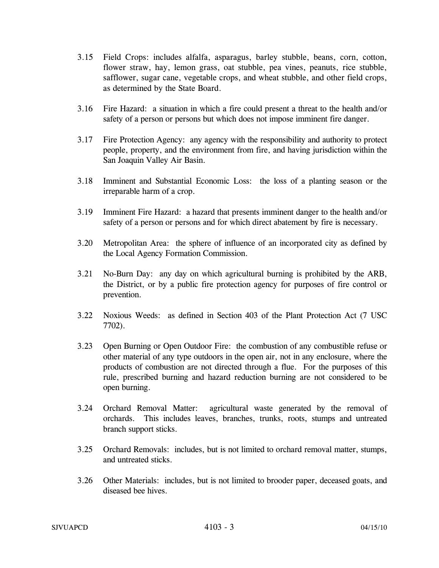- 3.15 Field Crops: includes alfalfa, asparagus, barley stubble, beans, corn, cotton, flower straw, hay, lemon grass, oat stubble, pea vines, peanuts, rice stubble, safflower, sugar cane, vegetable crops, and wheat stubble, and other field crops, as determined by the State Board.
- 3.16 Fire Hazard: a situation in which a fire could present a threat to the health and/or safety of a person or persons but which does not impose imminent fire danger.
- 3.17 Fire Protection Agency: any agency with the responsibility and authority to protect people, property, and the environment from fire, and having jurisdiction within the San Joaquin Valley Air Basin.
- 3.18 Imminent and Substantial Economic Loss: the loss of a planting season or the irreparable harm of a crop.
- 3.19 Imminent Fire Hazard: a hazard that presents imminent danger to the health and/or safety of a person or persons and for which direct abatement by fire is necessary.
- 3.20 Metropolitan Area: the sphere of influence of an incorporated city as defined by the Local Agency Formation Commission.
- 3.21 No-Burn Day: any day on which agricultural burning is prohibited by the ARB, the District, or by a public fire protection agency for purposes of fire control or prevention.
- 3.22 Noxious Weeds: as defined in Section 403 of the Plant Protection Act (7 USC 7702).
- 3.23 Open Burning or Open Outdoor Fire: the combustion of any combustible refuse or other material of any type outdoors in the open air, not in any enclosure, where the products of combustion are not directed through a flue. For the purposes of this rule, prescribed burning and hazard reduction burning are not considered to be open burning.
- 3.24 Orchard Removal Matter: agricultural waste generated by the removal of orchards. This includes leaves, branches, trunks, roots, stumps and untreated branch support sticks.
- 3.25 Orchard Removals: includes, but is not limited to orchard removal matter, stumps, and untreated sticks.
- 3.26 Other Materials: includes, but is not limited to brooder paper, deceased goats, and diseased bee hives.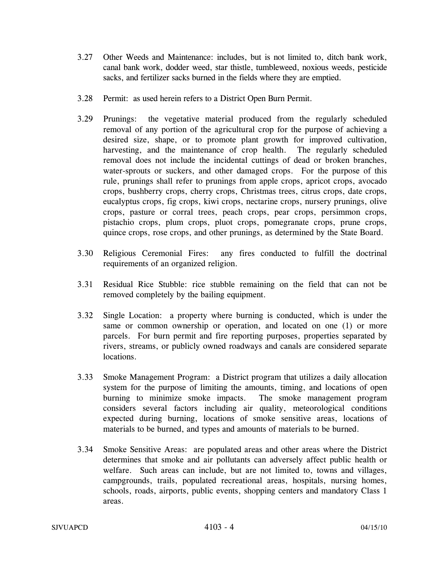- 3.27 Other Weeds and Maintenance: includes, but is not limited to, ditch bank work, canal bank work, dodder weed, star thistle, tumbleweed, noxious weeds, pesticide sacks, and fertilizer sacks burned in the fields where they are emptied.
- 3.28 Permit: as used herein refers to a District Open Burn Permit.
- 3.29 Prunings: the vegetative material produced from the regularly scheduled removal of any portion of the agricultural crop for the purpose of achieving a desired size, shape, or to promote plant growth for improved cultivation, harvesting, and the maintenance of crop health. The regularly scheduled removal does not include the incidental cuttings of dead or broken branches, water-sprouts or suckers, and other damaged crops. For the purpose of this rule, prunings shall refer to prunings from apple crops, apricot crops, avocado crops, bushberry crops, cherry crops, Christmas trees, citrus crops, date crops, eucalyptus crops, fig crops, kiwi crops, nectarine crops, nursery prunings, olive crops, pasture or corral trees, peach crops, pear crops, persimmon crops, pistachio crops, plum crops, pluot crops, pomegranate crops, prune crops, quince crops, rose crops, and other prunings, as determined by the State Board.
- 3.30 Religious Ceremonial Fires: any fires conducted to fulfill the doctrinal requirements of an organized religion.
- 3.31 Residual Rice Stubble: rice stubble remaining on the field that can not be removed completely by the bailing equipment.
- 3.32 Single Location: a property where burning is conducted, which is under the same or common ownership or operation, and located on one (1) or more parcels. For burn permit and fire reporting purposes, properties separated by rivers, streams, or publicly owned roadways and canals are considered separate locations.
- 3.33 Smoke Management Program: a District program that utilizes a daily allocation system for the purpose of limiting the amounts, timing, and locations of open burning to minimize smoke impacts. The smoke management program considers several factors including air quality, meteorological conditions expected during burning, locations of smoke sensitive areas, locations of materials to be burned, and types and amounts of materials to be burned.
- 3.34 Smoke Sensitive Areas: are populated areas and other areas where the District determines that smoke and air pollutants can adversely affect public health or welfare. Such areas can include, but are not limited to, towns and villages, campgrounds, trails, populated recreational areas, hospitals, nursing homes, schools, roads, airports, public events, shopping centers and mandatory Class 1 areas.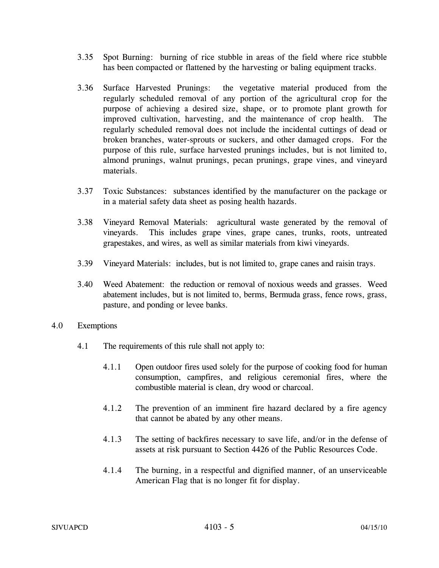- 3.35 Spot Burning: burning of rice stubble in areas of the field where rice stubble has been compacted or flattened by the harvesting or baling equipment tracks.
- 3.36 Surface Harvested Prunings: the vegetative material produced from the regularly scheduled removal of any portion of the agricultural crop for the purpose of achieving a desired size, shape, or to promote plant growth for improved cultivation, harvesting, and the maintenance of crop health. The regularly scheduled removal does not include the incidental cuttings of dead or broken branches, water-sprouts or suckers, and other damaged crops. For the purpose of this rule, surface harvested prunings includes, but is not limited to, almond prunings, walnut prunings, pecan prunings, grape vines, and vineyard materials.
- 3.37 Toxic Substances: substances identified by the manufacturer on the package or in a material safety data sheet as posing health hazards.
- 3.38 Vineyard Removal Materials: agricultural waste generated by the removal of vineyards. This includes grape vines, grape canes, trunks, roots, untreated grapestakes, and wires, as well as similar materials from kiwi vineyards.
- 3.39 Vineyard Materials: includes, but is not limited to, grape canes and raisin trays.
- 3.40 Weed Abatement: the reduction or removal of noxious weeds and grasses. Weed abatement includes, but is not limited to, berms, Bermuda grass, fence rows, grass, pasture, and ponding or levee banks.
- 4.0 Exemptions
	- 4.1 The requirements of this rule shall not apply to:
		- 4.1.1 Open outdoor fires used solely for the purpose of cooking food for human consumption, campfires, and religious ceremonial fires, where the combustible material is clean, dry wood or charcoal.
		- 4.1.2 The prevention of an imminent fire hazard declared by a fire agency that cannot be abated by any other means.
		- 4.1.3 The setting of backfires necessary to save life, and/or in the defense of assets at risk pursuant to Section 4426 of the Public Resources Code.
		- 4.1.4 The burning, in a respectful and dignified manner, of an unserviceable American Flag that is no longer fit for display.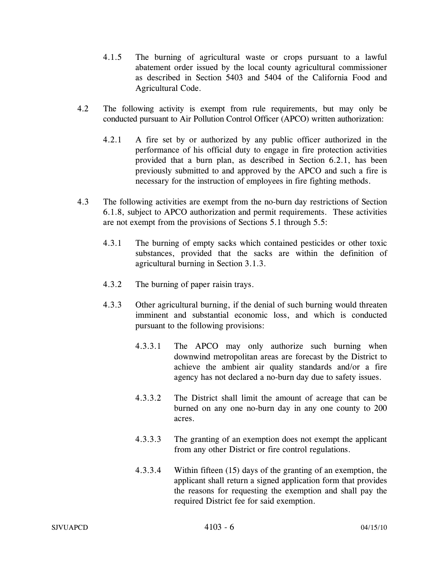- 4.1.5 The burning of agricultural waste or crops pursuant to a lawful abatement order issued by the local county agricultural commissioner as described in Section 5403 and 5404 of the California Food and Agricultural Code.
- 4.2 The following activity is exempt from rule requirements, but may only be conducted pursuant to Air Pollution Control Officer (APCO) written authorization:
	- 4.2.1 A fire set by or authorized by any public officer authorized in the performance of his official duty to engage in fire protection activities provided that a burn plan, as described in Section 6.2.1, has been previously submitted to and approved by the APCO and such a fire is necessary for the instruction of employees in fire fighting methods.
- 4.3 The following activities are exempt from the no-burn day restrictions of Section 6.1.8, subject to APCO authorization and permit requirements. These activities are not exempt from the provisions of Sections 5.1 through 5.5:
	- 4.3.1 The burning of empty sacks which contained pesticides or other toxic substances, provided that the sacks are within the definition of agricultural burning in Section 3.1.3.
	- 4.3.2 The burning of paper raisin trays.
	- 4.3.3 Other agricultural burning, if the denial of such burning would threaten imminent and substantial economic loss, and which is conducted pursuant to the following provisions:
		- 4.3.3.1 The APCO may only authorize such burning when downwind metropolitan areas are forecast by the District to achieve the ambient air quality standards and/or a fire agency has not declared a no-burn day due to safety issues.
		- 4.3.3.2 The District shall limit the amount of acreage that can be burned on any one no-burn day in any one county to 200 acres.
		- 4.3.3.3 The granting of an exemption does not exempt the applicant from any other District or fire control regulations.
		- 4.3.3.4 Within fifteen (15) days of the granting of an exemption, the applicant shall return a signed application form that provides the reasons for requesting the exemption and shall pay the required District fee for said exemption.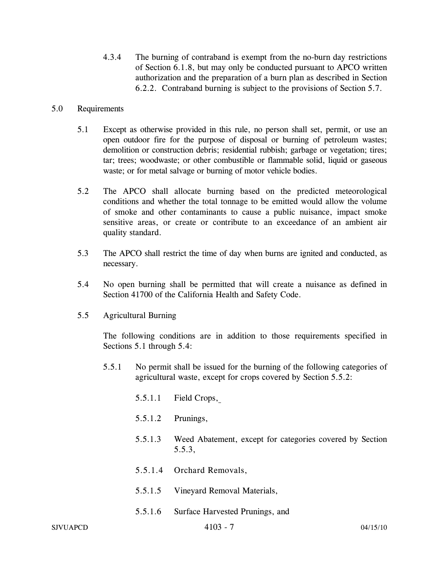4.3.4 The burning of contraband is exempt from the no-burn day restrictions of Section 6.1.8, but may only be conducted pursuant to APCO written authorization and the preparation of a burn plan as described in Section 6.2.2. Contraband burning is subject to the provisions of Section 5.7.

#### 5.0 Requirements

- 5.1 Except as otherwise provided in this rule, no person shall set, permit, or use an open outdoor fire for the purpose of disposal or burning of petroleum wastes; demolition or construction debris; residential rubbish; garbage or vegetation; tires; tar; trees; woodwaste; or other combustible or flammable solid, liquid or gaseous waste; or for metal salvage or burning of motor vehicle bodies.
- 5.2 The APCO shall allocate burning based on the predicted meteorological conditions and whether the total tonnage to be emitted would allow the volume of smoke and other contaminants to cause a public nuisance, impact smoke sensitive areas, or create or contribute to an exceedance of an ambient air quality standard.
- 5.3 The APCO shall restrict the time of day when burns are ignited and conducted, as necessary.
- 5.4 No open burning shall be permitted that will create a nuisance as defined in Section 41700 of the California Health and Safety Code.
- 5.5 Agricultural Burning

The following conditions are in addition to those requirements specified in Sections 5.1 through 5.4:

- 5.5.1 No permit shall be issued for the burning of the following categories of agricultural waste, except for crops covered by Section 5.5.2:
	- 5.5.1.1 Field Crops,
	- 5.5.1.2 Prunings,
	- 5.5.1.3 Weed Abatement, except for categories covered by Section 5.5.3,
	- 5.5.1.4 Orchard Removals,
	- 5.5.1.5 Vineyard Removal Materials,
	- 5.5.1.6 Surface Harvested Prunings, and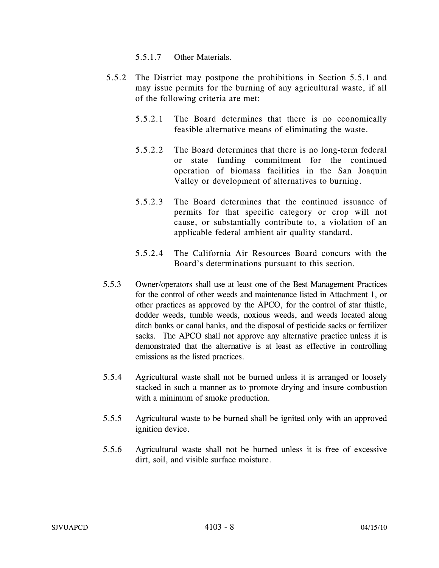- 5.5.1.7 Other Materials.
- 5.5.2 The District may postpone the prohibitions in Section 5.5.1 and may issue permits for the burning of any agricultural waste, if all of the following criteria are met:
	- 5.5.2.1 The Board determines that there is no economically feasible alternative means of eliminating the waste.
	- 5.5.2.2 The Board determines that there is no long-term federal or state funding commitment for the continued operation of biomass facilities in the San Joaquin Valley or development of alternatives to burning.
	- 5.5.2.3 The Board determines that the continued issuance of permits for that specific category or crop will not cause, or substantially contribute to, a violation of an applicable federal ambient air quality standard.
	- 5.5.2.4 The California Air Resources Board concurs with the Board's determinations pursuant to this section.
- 5.5.3 Owner/operators shall use at least one of the Best Management Practices for the control of other weeds and maintenance listed in Attachment 1, or other practices as approved by the APCO, for the control of star thistle, dodder weeds, tumble weeds, noxious weeds, and weeds located along ditch banks or canal banks, and the disposal of pesticide sacks or fertilizer sacks. The APCO shall not approve any alternative practice unless it is demonstrated that the alternative is at least as effective in controlling emissions as the listed practices.
- 5.5.4 Agricultural waste shall not be burned unless it is arranged or loosely stacked in such a manner as to promote drying and insure combustion with a minimum of smoke production.
- 5.5.5 Agricultural waste to be burned shall be ignited only with an approved ignition device.
- 5.5.6 Agricultural waste shall not be burned unless it is free of excessive dirt, soil, and visible surface moisture.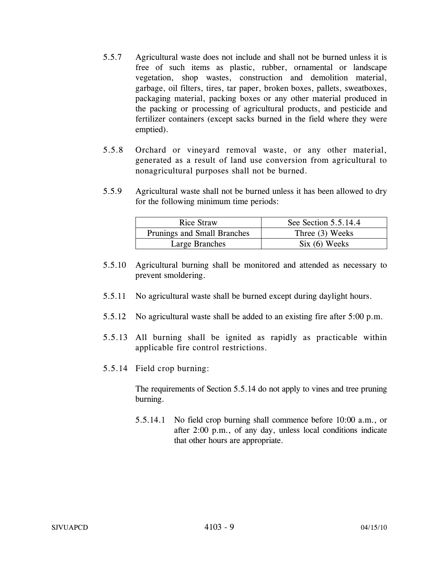- 5.5.7 Agricultural waste does not include and shall not be burned unless it is free of such items as plastic, rubber, ornamental or landscape vegetation, shop wastes, construction and demolition material, garbage, oil filters, tires, tar paper, broken boxes, pallets, sweatboxes, packaging material, packing boxes or any other material produced in the packing or processing of agricultural products, and pesticide and fertilizer containers (except sacks burned in the field where they were emptied).
- 5.5.8 Orchard or vineyard removal waste, or any other material, generated as a result of land use conversion from agricultural to nonagricultural purposes shall not be burned.
- 5.5.9 Agricultural waste shall not be burned unless it has been allowed to dry for the following minimum time periods:

| <b>Rice Straw</b>           | See Section 5.5.14.4 |
|-----------------------------|----------------------|
| Prunings and Small Branches | Three (3) Weeks      |
| Large Branches              | $Six (6) \nWeeks$    |

- 5.5.10 Agricultural burning shall be monitored and attended as necessary to prevent smoldering.
- 5.5.11 No agricultural waste shall be burned except during daylight hours.
- 5.5.12 No agricultural waste shall be added to an existing fire after 5:00 p.m.
- 5.5.13 All burning shall be ignited as rapidly as practicable within applicable fire control restrictions.
- 5.5.14 Field crop burning:

 The requirements of Section 5.5.14 do not apply to vines and tree pruning burning.

5.5.14.1 No field crop burning shall commence before 10:00 a.m., or after 2:00 p.m., of any day, unless local conditions indicate that other hours are appropriate.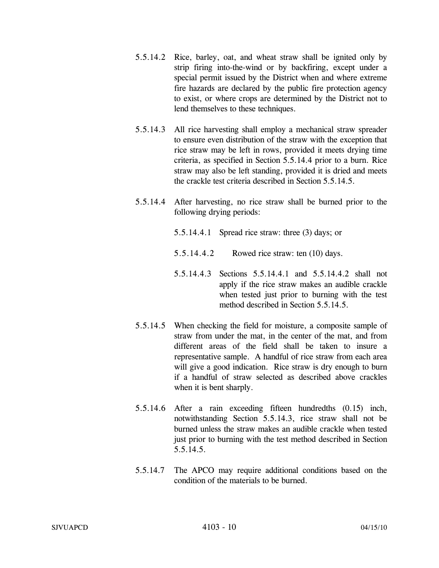- 5.5.14.2 Rice, barley, oat, and wheat straw shall be ignited only by strip firing into-the-wind or by backfiring, except under a special permit issued by the District when and where extreme fire hazards are declared by the public fire protection agency to exist, or where crops are determined by the District not to lend themselves to these techniques.
- 5.5.14.3 All rice harvesting shall employ a mechanical straw spreader to ensure even distribution of the straw with the exception that rice straw may be left in rows, provided it meets drying time criteria, as specified in Section 5.5.14.4 prior to a burn. Rice straw may also be left standing, provided it is dried and meets the crackle test criteria described in Section 5.5.14.5.
- 5.5.14.4 After harvesting, no rice straw shall be burned prior to the following drying periods:
	- 5.5.14.4.1 Spread rice straw: three (3) days; or
	- 5.5.14.4.2 Rowed rice straw: ten (10) days.
	- 5.5.14.4.3 Sections 5.5.14.4.1 and 5.5.14.4.2 shall not apply if the rice straw makes an audible crackle when tested just prior to burning with the test method described in Section 5.5.14.5.
- 5.5.14.5 When checking the field for moisture, a composite sample of straw from under the mat, in the center of the mat, and from different areas of the field shall be taken to insure a representative sample. A handful of rice straw from each area will give a good indication. Rice straw is dry enough to burn if a handful of straw selected as described above crackles when it is bent sharply.
- 5.5.14.6 After a rain exceeding fifteen hundredths (0.15) inch, notwithstanding Section 5.5.14.3, rice straw shall not be burned unless the straw makes an audible crackle when tested just prior to burning with the test method described in Section 5.5.14.5.
- 5.5.14.7 The APCO may require additional conditions based on the condition of the materials to be burned.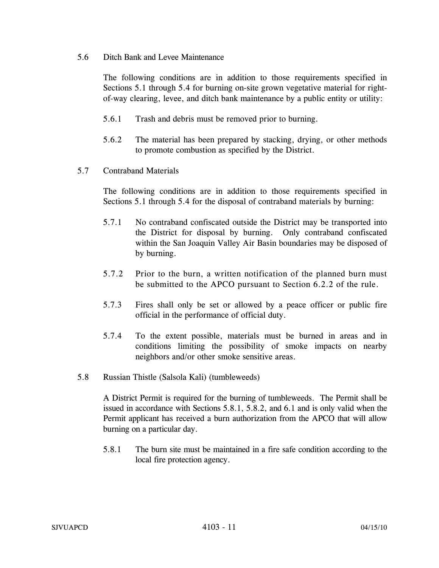5.6 Ditch Bank and Levee Maintenance

The following conditions are in addition to those requirements specified in Sections 5.1 through 5.4 for burning on-site grown vegetative material for rightof-way clearing, levee, and ditch bank maintenance by a public entity or utility:

- 5.6.1 Trash and debris must be removed prior to burning.
- 5.6.2 The material has been prepared by stacking, drying, or other methods to promote combustion as specified by the District.
- 5.7 Contraband Materials

The following conditions are in addition to those requirements specified in Sections 5.1 through 5.4 for the disposal of contraband materials by burning:

- 5.7.1 No contraband confiscated outside the District may be transported into the District for disposal by burning. Only contraband confiscated within the San Joaquin Valley Air Basin boundaries may be disposed of by burning.
- 5.7.2 Prior to the burn, a written notification of the planned burn must be submitted to the APCO pursuant to Section 6.2.2 of the rule.
- 5.7.3 Fires shall only be set or allowed by a peace officer or public fire official in the performance of official duty.
- 5.7.4 To the extent possible, materials must be burned in areas and in conditions limiting the possibility of smoke impacts on nearby neighbors and/or other smoke sensitive areas.
- 5.8 Russian Thistle (Salsola Kali) (tumbleweeds)

A District Permit is required for the burning of tumbleweeds. The Permit shall be issued in accordance with Sections 5.8.1, 5.8.2, and 6.1 and is only valid when the Permit applicant has received a burn authorization from the APCO that will allow burning on a particular day.

5.8.1 The burn site must be maintained in a fire safe condition according to the local fire protection agency.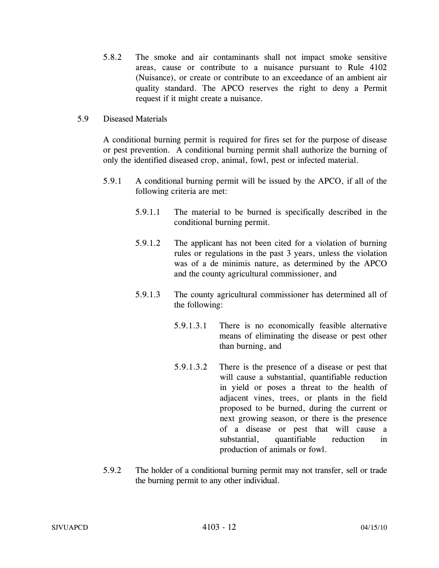- 5.8.2 The smoke and air contaminants shall not impact smoke sensitive areas, cause or contribute to a nuisance pursuant to Rule 4102 (Nuisance), or create or contribute to an exceedance of an ambient air quality standard. The APCO reserves the right to deny a Permit request if it might create a nuisance.
- 5.9 Diseased Materials

A conditional burning permit is required for fires set for the purpose of disease or pest prevention. A conditional burning permit shall authorize the burning of only the identified diseased crop, animal, fowl, pest or infected material.

- 5.9.1 A conditional burning permit will be issued by the APCO, if all of the following criteria are met:
	- 5.9.1.1 The material to be burned is specifically described in the conditional burning permit.
	- 5.9.1.2 The applicant has not been cited for a violation of burning rules or regulations in the past 3 years, unless the violation was of a de minimis nature, as determined by the APCO and the county agricultural commissioner, and
	- 5.9.1.3 The county agricultural commissioner has determined all of the following:
		- 5.9.1.3.1 There is no economically feasible alternative means of eliminating the disease or pest other than burning, and
		- 5.9.1.3.2 There is the presence of a disease or pest that will cause a substantial, quantifiable reduction in yield or poses a threat to the health of adjacent vines, trees, or plants in the field proposed to be burned, during the current or next growing season, or there is the presence of a disease or pest that will cause a substantial, quantifiable reduction in production of animals or fowl.
- 5.9.2 The holder of a conditional burning permit may not transfer, sell or trade the burning permit to any other individual.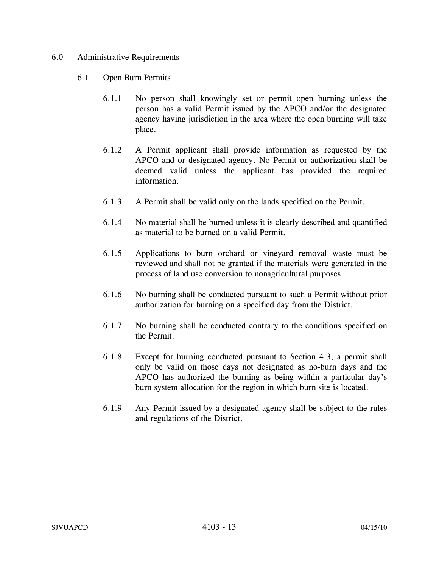#### 6.0 Administrative Requirements

- 6.1 Open Burn Permits
	- 6.1.1 No person shall knowingly set or permit open burning unless the person has a valid Permit issued by the APCO and/or the designated agency having jurisdiction in the area where the open burning will take place.
	- 6.1.2 A Permit applicant shall provide information as requested by the APCO and or designated agency. No Permit or authorization shall be deemed valid unless the applicant has provided the required information.
	- 6.1.3 A Permit shall be valid only on the lands specified on the Permit.
	- 6.1.4 No material shall be burned unless it is clearly described and quantified as material to be burned on a valid Permit.
	- 6.1.5 Applications to burn orchard or vineyard removal waste must be reviewed and shall not be granted if the materials were generated in the process of land use conversion to nonagricultural purposes.
	- 6.1.6 No burning shall be conducted pursuant to such a Permit without prior authorization for burning on a specified day from the District.
	- 6.1.7 No burning shall be conducted contrary to the conditions specified on the Permit.
	- 6.1.8 Except for burning conducted pursuant to Section 4.3, a permit shall only be valid on those days not designated as no-burn days and the APCO has authorized the burning as being within a particular day's burn system allocation for the region in which burn site is located.
	- 6.1.9 Any Permit issued by a designated agency shall be subject to the rules and regulations of the District.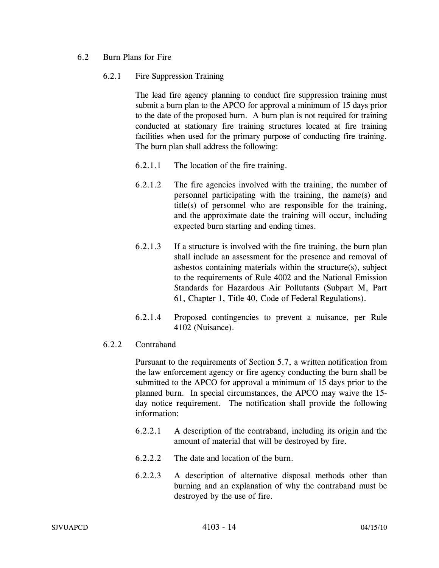### 6.2 Burn Plans for Fire

### 6.2.1 Fire Suppression Training

The lead fire agency planning to conduct fire suppression training must submit a burn plan to the APCO for approval a minimum of 15 days prior to the date of the proposed burn. A burn plan is not required for training conducted at stationary fire training structures located at fire training facilities when used for the primary purpose of conducting fire training. The burn plan shall address the following:

- 6.2.1.1 The location of the fire training.
- 6.2.1.2 The fire agencies involved with the training, the number of personnel participating with the training, the name(s) and title(s) of personnel who are responsible for the training, and the approximate date the training will occur, including expected burn starting and ending times.
- 6.2.1.3 If a structure is involved with the fire training, the burn plan shall include an assessment for the presence and removal of asbestos containing materials within the structure(s), subject to the requirements of Rule 4002 and the National Emission Standards for Hazardous Air Pollutants (Subpart M, Part 61, Chapter 1, Title 40, Code of Federal Regulations).
- 6.2.1.4 Proposed contingencies to prevent a nuisance, per Rule 4102 (Nuisance).

# 6.2.2 Contraband

Pursuant to the requirements of Section 5.7, a written notification from the law enforcement agency or fire agency conducting the burn shall be submitted to the APCO for approval a minimum of 15 days prior to the planned burn. In special circumstances, the APCO may waive the 15 day notice requirement. The notification shall provide the following information:

- 6.2.2.1 A description of the contraband, including its origin and the amount of material that will be destroyed by fire.
- 6.2.2.2 The date and location of the burn.
- 6.2.2.3 A description of alternative disposal methods other than burning and an explanation of why the contraband must be destroyed by the use of fire.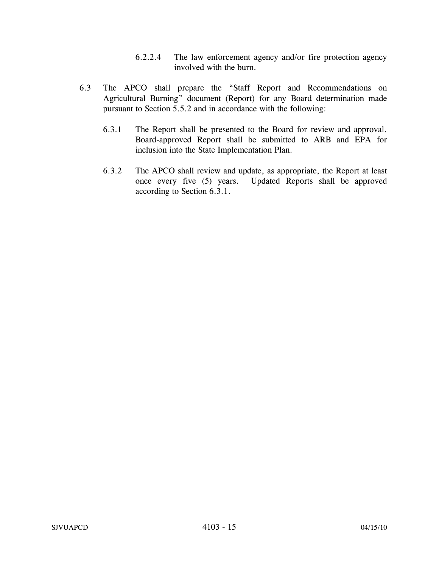- 6.2.2.4 The law enforcement agency and/or fire protection agency involved with the burn.
- 6.3 The APCO shall prepare the "Staff Report and Recommendations on Agricultural Burning" document (Report) for any Board determination made pursuant to Section 5.5.2 and in accordance with the following:
	- 6.3.1 The Report shall be presented to the Board for review and approval. Board-approved Report shall be submitted to ARB and EPA for inclusion into the State Implementation Plan.
	- 6.3.2 The APCO shall review and update, as appropriate, the Report at least once every five (5) years. Updated Reports shall be approved according to Section 6.3.1.